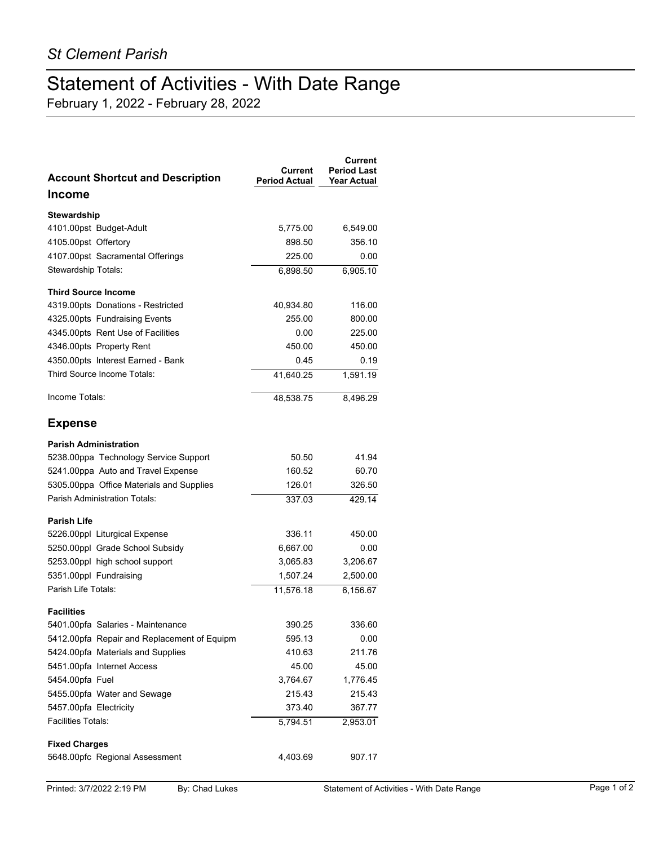## Statement of Activities - With Date Range

February 1, 2022 - February 28, 2022

| <b>Account Shortcut and Description</b>     | Current<br><b>Period Actual</b> | Current<br><b>Period Last</b><br><b>Year Actual</b> |
|---------------------------------------------|---------------------------------|-----------------------------------------------------|
| Income                                      |                                 |                                                     |
| Stewardship                                 |                                 |                                                     |
| 4101.00pst Budget-Adult                     | 5,775.00                        | 6,549.00                                            |
| 4105.00pst Offertory                        | 898.50                          | 356.10                                              |
| 4107.00pst Sacramental Offerings            | 225.00                          | 0.00                                                |
| Stewardship Totals:                         | 6,898.50                        | 6,905.10                                            |
| <b>Third Source Income</b>                  |                                 |                                                     |
| 4319.00pts Donations - Restricted           | 40,934.80                       | 116.00                                              |
| 4325.00pts Fundraising Events               | 255.00                          | 800.00                                              |
| 4345.00pts Rent Use of Facilities           | 0.00                            | 225.00                                              |
| 4346.00pts Property Rent                    | 450.00                          | 450.00                                              |
| 4350.00pts Interest Earned - Bank           | 0.45                            | 0.19                                                |
| Third Source Income Totals:                 | 41,640.25                       | 1.591.19                                            |
| Income Totals:                              | 48,538.75                       | 8,496.29                                            |
| <b>Expense</b>                              |                                 |                                                     |
| <b>Parish Administration</b>                |                                 |                                                     |
| 5238.00ppa Technology Service Support       | 50.50                           | 41.94                                               |
| 5241.00ppa Auto and Travel Expense          | 160.52                          | 60.70                                               |
| 5305.00ppa Office Materials and Supplies    | 126.01                          | 326.50                                              |
| <b>Parish Administration Totals:</b>        | 337.03                          | 429.14                                              |
| <b>Parish Life</b>                          |                                 |                                                     |
| 5226.00ppl Liturgical Expense               | 336.11                          | 450.00                                              |
| 5250.00ppl Grade School Subsidy             | 6,667.00                        | 0.00                                                |
| 5253.00ppl high school support              | 3,065.83                        | 3,206.67                                            |
| 5351.00ppl Fundraising                      | 1,507.24                        | 2,500.00                                            |
| Parish Life Totals:                         | 11,576.18                       | 6,156.67                                            |
| <b>Facilities</b>                           |                                 |                                                     |
| 5401.00pfa Salaries - Maintenance           | 390.25                          | 336.60                                              |
| 5412.00pfa Repair and Replacement of Equipm | 595.13                          | 0.00                                                |
| 5424.00pfa Materials and Supplies           | 410.63                          | 211.76                                              |
| 5451.00pfa Internet Access                  | 45.00                           | 45.00                                               |
| 5454.00pfa Fuel                             | 3,764.67                        | 1,776.45                                            |
| 5455.00pfa Water and Sewage                 | 215.43                          | 215.43                                              |
| 5457.00pfa Electricity                      | 373.40                          | 367.77                                              |
| <b>Facilities Totals:</b>                   | 5,794.51                        | 2,953.01                                            |
| <b>Fixed Charges</b>                        |                                 |                                                     |
| 5648.00pfc Regional Assessment              | 4,403.69                        | 907.17                                              |